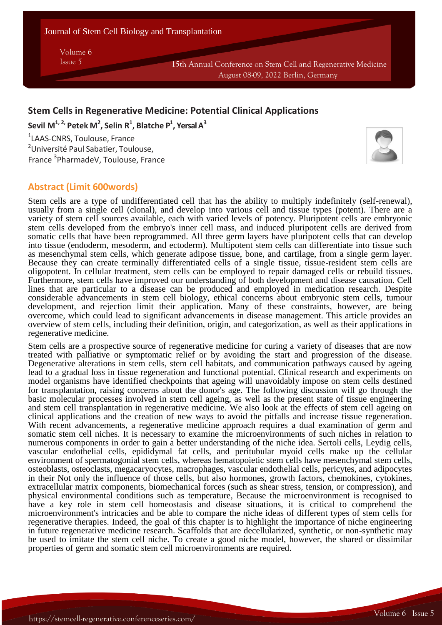Journal of Stem Cell Biology and Transplantation

Volume 6

Issue 5 15th Annual Conference on Stem Cell and Regenerative Medicine August 08-09, 2022 Berlin, Germany

## **Stem Cells in Regenerative Medicine: Potential Clinical Applications**

**Sevil M 1, 2, Petek M 2 , Selin R 1 , Blatche P 1 , Yersal A 3**

1 LAAS-CNRS, Toulouse, France <sup>2</sup>Université Paul Sabatier, Toulouse, France <sup>3</sup>PharmadeV, Toulouse, France



**Volume 10 Issue 4**

# **Abstract (Limit 600words)**

Stem cells are a type of undifferentiated cell that has the ability to multiply indefinitely (self-renewal), usually from a single cell (clonal), and develop into various cell and tissue types (potent). There are a variety of stem cell sources available, each with varied levels of potency. Pluripotent cells are embryonic stem cells developed from the embryo's inner cell mass, and induced pluripotent cells are derived from somatic cells that have been reprogrammed. All three germ layers have pluripotent cells that can develop into tissue (endoderm, mesoderm, and ectoderm). Multipotent stem cells can differentiate into tissue such as mesenchymal stem cells, which generate adipose tissue, bone, and cartilage, from a single germ layer. Because they can create terminally differentiated cells of a single tissue, tissue-resident stem cells are oligopotent. In cellular treatment, stem cells can be employed to repair damaged cells or rebuild tissues. Furthermore, stem cells have improved our understanding of both development and disease causation. Cell lines that are particular to a disease can be produced and employed in medication research. Despite considerable advancements in stem cell biology, ethical concerns about embryonic stem cells, tumour development, and rejection limit their application. Many of these constraints, however, are being overcome, which could lead to significant advancements in disease management. This article provides an overview of stem cells, including their definition, origin, and categorization, as well as their applications in regenerative medicine.

Stem cells are a prospective source of regenerative medicine for curing a variety of diseases that are now treated with palliative or symptomatic relief or by avoiding the start and progression of the disease. Degenerative alterations in stem cells, stem cell habitats, and communication pathways caused by ageing lead to a gradual loss in tissue regeneration and functional potential. Clinical research and experiments on model organisms have identified checkpoints that ageing will unavoidably impose on stem cells destined for transplantation, raising concerns about the donor's age. The following discussion will go through the basic molecular processes involved in stem cell ageing, as well as the present state of tissue engineering and stem cell transplantation in regenerative medicine. We also look at the effects of stem cell ageing on clinical applications and the creation of new ways to avoid the pitfalls and increase tissue regeneration. With recent advancements, a regenerative medicine approach requires a dual examination of germ and somatic stem cell niches. It is necessary to examine the microenvironments of such niches in relation to numerous components in order to gain a better understanding of the niche idea. Sertoli cells, Leydig cells, vascular endothelial cells, epididymal fat cells, and peritubular myoid cells make up the cellular environment of spermatogonial stem cells, whereas hematopoietic stem cells have mesenchymal stem cells, osteoblasts, osteoclasts, megacaryocytes, macrophages, vascular endothelial cells, pericytes, and adipocytes in their Not only the influence of those cells, but also hormones, growth factors, chemokines, cytokines, extracellular matrix components, biomechanical forces (such as shear stress, tension, or compression), and physical environmental conditions such as temperature, Because the microenvironment is recognised to have a key role in stem cell homeostasis and disease situations, it is critical to comprehend the microenvironment's intricacies and be able to compare the niche ideas of different types of stem cells for regenerative therapies. Indeed, the goal of this chapter is to highlight the importance of niche engineering in future regenerative medicine research. Scaffolds that are decellularized, synthetic, or non-synthetic may be used to imitate the stem cell niche. To create a good niche model, however, the shared or dissimilar properties of germ and somatic stem cell microenvironments are required.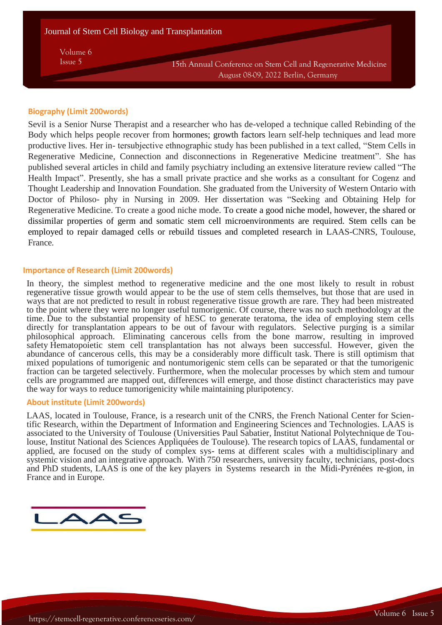Volume 6

Issue 5 15th Annual Conference on Stem Cell and Regenerative Medicine August 08-09, 2022 Berlin, Germany

## **Biography (Limit 200words)**

Sevil is a Senior Nurse Therapist and a researcher who has de-veloped a technique called Rebinding of the Body which helps people recover from hormones; growth factors learn self-help techniques and lead more productive lives. Her in- tersubjective ethnographic study has been published in a text called, "Stem Cells in Regenerative Medicine, Connection and disconnections in Regenerative Medicine treatment". She has published several articles in child and family psychiatry including an extensive literature review called "The Health Impact". Presently, she has a small private practice and she works as a consultant for Cogenz and Thought Leadership and Innovation Foundation. She graduated from the University of Western Ontario with Doctor of Philoso- phy in Nursing in 2009. Her dissertation was "Seeking and Obtaining Help for Regenerative Medicine. To create a good niche mode. To create a good niche model, however, the shared or dissimilar properties of germ and somatic stem cell microenvironments are required. Stem cells can be employed to repair damaged cells or rebuild tissues and completed research in LAAS-CNRS, Toulouse, France.

### **Importance of Research (Limit 200words)**

In theory, the simplest method to regenerative medicine and the one most likely to result in robust regenerative tissue growth would appear to be the use of stem cells themselves, but those that are used in ways that are not predicted to result in robust regenerative tissue growth are rare. They had been mistreated to the point where they were no longer useful tumorigenic. Of course, there was no such methodology at the time. Due to the substantial propensity of hESC to generate teratoma, the idea of employing stem cells directly for transplantation appears to be out of favour with regulators. Selective purging is a similar philosophical approach. Eliminating cancerous cells from the bone marrow, resulting in improved safety Hematopoietic stem cell transplantation has not always been successful. However, given the abundance of cancerous cells, this may be a considerably more difficult task. There is still optimism that mixed populations of tumorigenic and nontumorigenic stem cells can be separated or that the tumorigenic fraction can be targeted selectively. Furthermore, when the molecular processes by which stem and tumour cells are programmed are mapped out, differences will emerge, and those distinct characteristics may pave the way for ways to reduce tumorigenicity while maintaining pluripotency.

### **About institute (Limit 200words)**

LAAS, located in Toulouse, France, is a research unit of the CNRS, the French National Center for Scientific Research, within the Department of Information and Engineering Sciences and Technologies. LAAS is associated to the University of Toulouse (Universities Paul Sabatier, Institut National Polytechnique de Toulouse, Institut National des Sciences Appliquées de Toulouse). The research topics of LAAS, fundamental or applied, are focused on the study of complex sys- tems at different scales with a multidisciplinary and systemic vision and an integrative approach. With 750 researchers, university faculty, technicians, post-docs and PhD students, LAAS is one of the key players in Systems research in the Midi-Pyrénées re-gion, in France and in Europe.



**Volume 10 Issue 4**